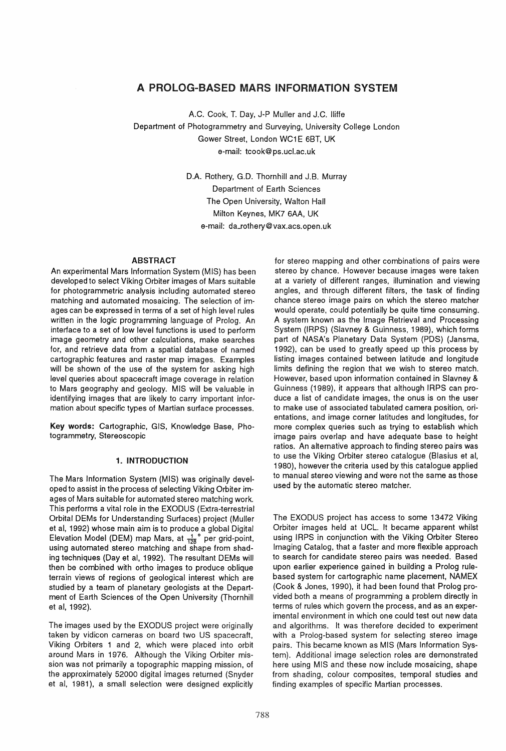# A PROLOG-BASED MARS INFORMATION SYSTEM

A.C. Cook, T. Day, J-P Muller and J.C. lIiffe Department of Photogrammetry and Surveying, University College London Gower Street, London WC1E 6BT, UK e-mail: tcook@ps.ucl.ac.uk

> D.A. Rothery, G.D. Thornhill and J.B. Murray Department of Earth Sciences The Open University, Walton Hall Milton Keynes, MK7 6AA, UK e-mail: da\_rothery@vax.acs.open.uk

## ABSTRACT

An experimental Mars Information System (MIS) has been developed to select Viking Orbiter images of Mars suitable for photogrammetric analysis including automated stereo matching and automated mosaicing. The selection of images can be expressed in terms of a set of high level rules written in the logic programming language of Prolog. An interface to a set of low level functions is used to perform image geometry and other calculations, make searches for, and retrieve data from a spatial database of named cartographic features and raster map images. Examples will be shown of the use of the system for asking high level queries about spacecraft image coverage in relation to Mars geography and geology. MIS will be valuable in identifying images that are likely to carry important information about specific types of Martian surface processes.

Key words: Cartographic, GIS, Knowledge Base, Photogrammetry, Stereoscopic

### 1. INTRODUCTION

The Mars Information System (MIS) was originally developed to assist in the process of selecting Viking Orbiter images of Mars suitable for automated stereo matching work. This performs a vital role in the EXODUS (Extra-terrestrial Orbital OEMs for Understanding Surfaces) project (Muller et al. 1992) whose main aim is to produce a global Digital Elevation Model (DEM) map Mars, at  $\frac{1}{128}$  per grid-point, using automated stereo matching and shape from shading techniques (Day et ai, 1992). The resultant OEMs will then be combined with ortho images to produce oblique terrain views of regions of geological interest which are studied by a team of planetary geologists at the Department of Earth Sciences of the Open University (Thornhill et ai, 1992).

The images used by the EXODUS project were originally taken by vidicon cameras on board two US spacecraft, Viking Orbiters 1 and 2, which were placed into orbit around Mars in 1976. Although the Viking Orbiter mission was not primarily a topographic mapping mission, of the approximately 52000 digital images returned (Snyder et ai, 1981), a small selection were designed explicitly

for stereo mapping and other combinations of pairs were stereo by chance. However because images were taken at a variety of different ranges, illumination and viewing angles, and through different filters, the task of finding chance stereo image pairs on which the stereo matcher would operate, could potentially be quite time consuming. A system known as the Image Retrieval and Processing System (IRPS) (Slavney & Guinness, 1989). which forms part of NASA's Planetary Data System (PDS) (Jansma, 1992), can be used to greatly speed up this process by listing images contained between latitude and longitude limits defining the region that we wish to stereo match. However, based upon information contained in Slavney & Guinness (1989), it appears that although IRPS can produce a list of candidate images, the onus is on the user to make use of associated tabulated camera position, orientations, and image corner latitudes and longitudes, for more complex queries such as trying to establish which image pairs overlap and have adequate base to height ratios. An alternative approach to finding stereo pairs was to use the Viking Orbiter stereo catalogue (Blasius et ai, 1980), however the criteria used by this catalogue applied to manual stereo viewing and were not the same as those used by the automatic stereo matcher.

The EXODUS project has access to some 13472 Viking Orbiter images held at UCL. It became apparent whilst using IRPS in conjunction with the Viking Orbiter Stereo Imaging Catalog, that a faster and more flexible approach to search for candidate stereo pairs was needed. Based upon earlier experience gained in building a Prolog rulebased system for cartographic name placement, NAMEX (Cook & Jones, 1990), it had been found that Prolog provided both a means of programming a problem directly in terms of rules which govern the process, and as an experimental environment in which one could test out new data and algorithms. It was therefore decided to experiment with a Prolog-based system for selecting stereo image pairs. This became known as MIS (Mars Information System). Additional image selection roles are demonstrated here using MIS and these now include mosaicing, shape from shading, colour composites, temporal studies and finding examples of specific Martian processes.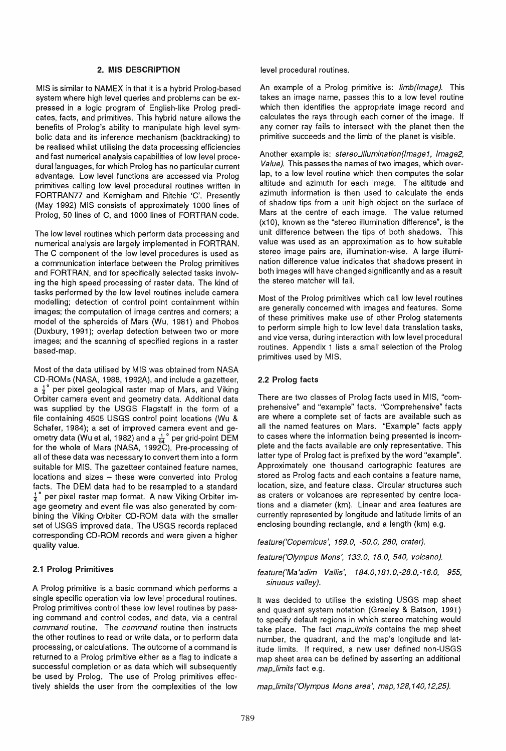## 2. MIS DESCRIPTION

MIS is similar to NAMEX in that it is a hybrid Prolog-based system where high level queries and problems can be expressed in a logic program of English-like Prolog predicates, facts, and primitives. This hybrid nature allows the benefits of Prolog's ability to manipulate high level symbolic data and its inference mechanism (backtracking) to be realised whilst utilising the data processing efficiencies and fast numerical analysis capabilities of low level procedural languages, for which Prolog has no particular current advantage. Low level functions are accessed via Prolog primitives calling low level procedural routines written in FORTRAN?? and Kernigham and Ritchie 'C'. Presently (May 1992) MIS consists of approximately 1000 lines of Prolog, 50 lines of C, and 1000 lines of FORTRAN code.

The low level routines which perform data processing and numerical analysis are largely implemented in FORTRAN. The C component of the low level procedures is used as a communication interface between the Prolog primitives and FORTRAN, and for specifically selected tasks involving the high speed processing of raster data. The kind of tasks performed by the low level routines include camera modelling; detection of control point containment within images; the computation of image centres and corners; a model of the spheroids of Mars (Wu, 1981) and Phobos (Duxbury, 1991); overlap detection between two or more images; and the scanning of specified regions in a raster based-map.

Most of the data utilised by MIS was obtained from NASA CD-ROMs (NASA, 1988, 1992A), and include a gazetteer, a  $\frac{1}{4}^{\circ}$  per pixel geological raster map of Mars, and Viking Orbiter camera event and geometry data. Additional data was supplied by the USGS Flagstaff in the form of a file containing 4505 USGS control point locations (Wu & Schafer, 1984); a set of improved camera event and geometry data (Wu et al, 1982) and a  $\frac{1}{64}$ ° per grid-point DEM for the whole of Mars (NASA. 1992C). Pre-processing of all of these data was necessary to convert them into a form suitable for MIS. The gazetteer contained feature names, locations and sizes - these were converted into Prolog facts. The OEM data had to be resampled to a standard  $\frac{1}{4}$ ° per pixel raster map format. A new Viking Orbiter image geometry and event file was also generated by combining the Viking Orbiter CD-ROM data with the smaller set of USGS improved data. The USGS records replaced corresponding CD-ROM records and were given a higher quality value.

## 2.1 Prolog Primitives

A Prolog primitive is a basic command which performs a single specific operation via low level procedural routines. Prolog primitives control these low level routines by passing command and control codes, and data, via a central command routine. The command routine then instructs the other routines to read or write data, or to perform data processing, or calculations. The outcome of a command is returned to a Prolog primitive either as a flag to indicate a successful completion or as data which will subsequently be used by Prolog. The use of Prolog primitives effectively shields the user from the complexities of the low level procedural routines.

An example of a Prolog primitive is: limb(lmage). This takes an image name, passes this to a low level routine which then identifies the appropriate image record and calculates the rays through each corner of the image. If any corner ray fails to intersect with the planet then the primitive succeeds and the limb of the planet is visible.

Another example is: stereo\_illumination(Image1, Image2, Value}. This passes the names of two images, which overlap, to a low level routine which then computes the solar altitude and azimuth for each image. The altitude and azimuth information is then used to calculate the ends of shadow tips from a unit high object on the surface of Mars at the centre of each image. The value returned (x10), known as the "stereo illumination difference", is the unit difference between the tips of both shadows. This value was used as an approximation as to how suitable stereo image pairs are, illumination-wise. A large illumination difference value indicates that shadows present in both images will have changed significantly and as a result the stereo matcher will fail.

Most of the Prolog primitives which call low level routines are generally concerned with images and features. Some of these primitives make use of other Prolog statements to perform simple high to low level data translation tasks, and vice versa, during interaction with low level procedural routines. Appendix 1 lists a small selection of the Prolog primitives used by MIS.

## 2.2 Prolog facts

There are two classes of Prolog facts used in MIS, "comprehensive" and "example" facts. "Comprehensive" facts are where a complete set of facts are available such as all the named features on Mars. "Example" facts apply to cases where the information being presented is incomplete and the facts available are only representative. This latter type of Prolog fact is prefixed by the word "example". Approximately one thousand cartographic features are stored as Prolog facts and each contains a feature name, location, size, and feature class. Circular structures such as craters or volcanoes are represented by centre locations and a diameter (km). Linear and area features are currently represented by longitude and latitude limits of an enclosing bounding rectangle, and a length (km) e.g.

feature('Copernicus', 169.0, -50.0, 280, crater}.

feature('Olympus Mons', 133.0, 18.0, 540, volcano).

feature('Ma'adim Vallis', 184.0,181.0,-28.0,-16.0, 955, sinuous valley}.

It was decided to utilise the existing USGS map sheet and quadrant system notation (Greeley & Batson, 1991) to specify default regions in which stereo matching would take place. The fact map\_limits contains the map sheet number, the quadrant, and the map's longitude and latitude limits. If required, a new user defined non-USGS map sheet area can be defined by asserting an additional map\_limits fact e.g.

map\_limits('Olympus Mons area', map, 128, 140, 12,25}.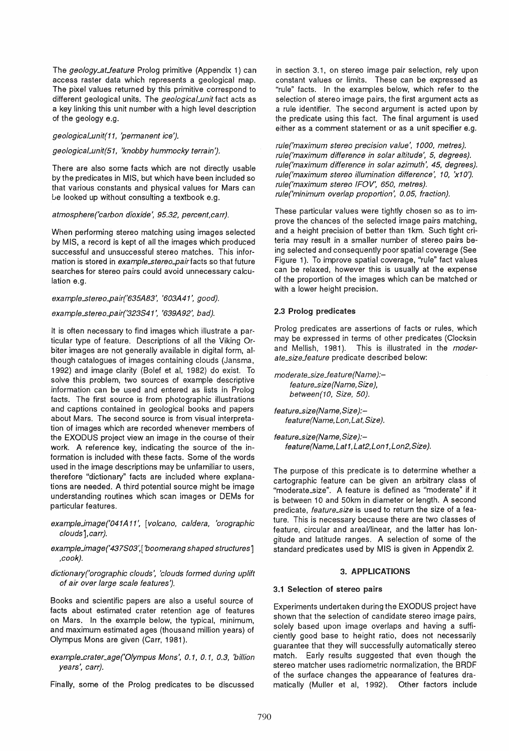The geology\_at\_feature Prolog primitive (Appendix 1) can access raster data which represents a geological map. The pixel values returned by this primitive correspond to different geological units. The *geological unit* fact acts as a key linking this unit number with a high level description of the geology e.g.

geological\_unit(11, 'permanent ice').

## geologicaLunit(51, 'knobby hummocky terrain'}.

There are also some facts which are not directly usable by the predicates in MIS, but which have been included so that various constants and physical values for Mars can Le looked up without consulting a textbook e.g.

## atmosphere('carbon dioxide', 95.32, percent,carr).

When performing stereo matching using images selected by MIS, a record is kept of all the images which produced successful and unsuccessful stereo matches. This information is stored in *example\_stereo\_pair* facts so that future searches for stereo pairs could avoid unnecessary calculation e.g.

example\_stereo\_pair('635A83', '603A41', good).

## example\_stereo\_pair('323S41', '639A92', bad).

It is often necessary to find images which illustrate a particular type of feature. Descriptions of all the Viking Orbiter images are not generally available in digital form, although catalogues of images containing clouds (Jansma, 1992) and image clarity (Bolef et ai, 1982) do exist. To solve this problem, two sources of example descriptive information can be used and entered as lists in Prolog facts. The first source is from photographic illustrations and captions contained in geological books and papers about Mars. The second source is from visual interpretation of images which are recorded whenever members of the EXODUS project view an image **in** the course of their work. A reference key, indicating the source of the information is included with these facts. Some of the words used in the image descriptions may be unfamiliar to users, therefore "dictionary" facts are included where explanations are needed. A third potential source might be image understanding routines which scan images or DEMs for particular features.

example\_image('041A11', [volcano, caldera, 'orographic clouds], carr).

example\_image('437S03',['boomerang shaped structures'] ,cook).

dictionary('orographic clouds', 'clouds formed during uplift of air over large scale features'}.

Books and scientific papers are also a useful source of facts about estimated crater retention age of features on Mars. In the example below, the typical, minimum, and maximum estimated ages (thousand million years) of Olympus Mons are given (Carr, 1981).

example\_crater\_age('Olympus Mons', 0.1, 0.1, 0.3, 'billion years', carr).

Finally, some of the Prolog predicates to be discussed

in section 3.1, on stereo image pair selection, rely upon constant values or limits. These can be expressed as "rule" facts. In the examples below, which refer to the selection of stereo image pairs, the first argument acts as a rule identifier. The second argument is acted upon by the predicate using this fact. The final argument is used either as a comment statement or as a unit specifier e.g.

rule('maximum stereo precision value', 1000, metres). rule('maximum difference in solar altitude', 5, degrees). rule('maximum difference in solar azimuth', 45, degrees). rule('maximum stereo illumination difference', 10, 'x10'}. rule('maximum stereo IFOV', 650, metres}. rule('minimum overlap proportion', 0.05, fraction).

These particular values were tightly chosen so as to improve the chances of the selected image pairs matching. and a height precision of better than 1 km. Such tight criteria may result in a smaller number of stereo pairs being selected and consequently poor spatial coverage (See Figure 1). To improve spatial coverage, "rule" fact values can be relaxed, however this is usually at the expense of the proportion of the images which can be matched or with a lower height precision.

# 2.3 Prolog predicates

Prolog predicates are assertions of facts or rules, which may be expressed in terms of other predicates (Clocksin and Mellish, 1981). This is illustrated in the *moder*ate\_sizeJeature predicate described below:

moderate\_size\_feature(Name):feature\_size(Name, Size), between(10, Size, 50}.

feature\_size(Name, Size):feature(Name,Lon,Lat,Size}.

feature\_size(Name, Size):feature(Name,Lat1,Lat2,Lon1,Lon2,Size).

The purpose of this predicate is to determine whether a cartographic feature can be given an arbitrary class of "moderate\_size". A feature is defined as "moderate" if it is between 10 and 50km in diameter or length. A second predicate, feature\_size is used to return the size of a feature. This is necessary because there are two classes of feature, circular and areal/linear, and the latter has longitude and latitude ranges. A selection of some of the standard predicates used by MIS is given in Appendix 2.

# 3. APPLICATIONS

## 3.1 Selection of stereo pairs

Experiments undertaken during the EXODUS project have shown that the selection of candidate stereo image pairs, solely based upon image overlaps and having a sufficiently good base to height ratio, does not necessarily guarantee that they will successfully automatically stereo match. Early results suggested that even though the stereo matcher uses radiometric normalization, the BRDF of the surface changes the appearance of features dramatically (Muller et ai, 1992). Other factors include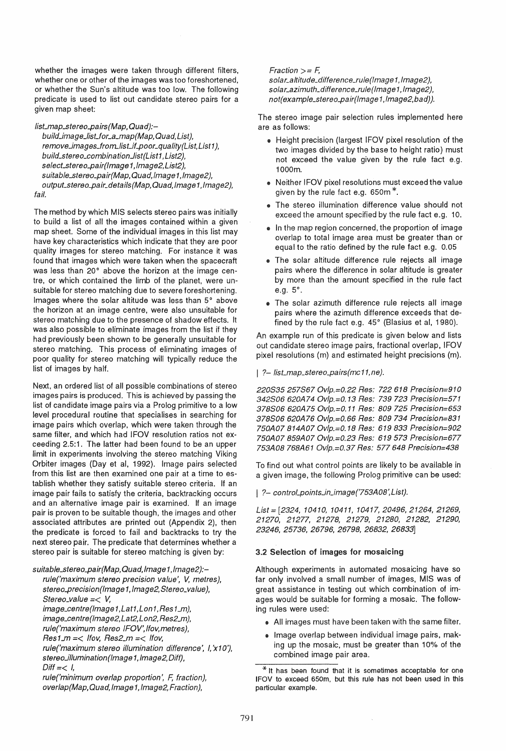whether the images were taken through different filters, whether one or other of the images was too foreshortened, or whether the Sun's altitude was too low. The following predicate is used to list out candidate stereo pairs for a given map sheet:

list\_map\_stereo\_pairs (Map, Quad):-

build\_image\_list\_for\_a\_map(Map, Quad, List), remove\_images\_from\_list\_if\_poor\_quality(List, List1), build\_stereo\_combination\_list(List1, List2), select\_stereo\_pair(lmage1,lmage2,List2), suitable\_stereo\_pair(Map, Quad, Image1, Image2), output\_stereo\_pair\_details(Map, Quad, Image1, Image2), fail.

The method by which MIS selects stereo pairs was initially to build a list of all the images contained within a given map sheet. Some of the individual images in this list may have key characteristics which indicate that they are poor quality images for stereo matching. For instance it was found that images which were taken when the spacecraft was less than 20° above the horizon at the image centre, or which contained the limb of the planet, were unsuitable for stereo matching due to severe foreshortening. Images where the solar altitude was less than 5° above the horizon at an image centre, were also unsuitable for stereo matching due to the presence of shadow effects. It was also possible to eliminate images from the list if they had previously been shown to be generally unsuitable for stereo matching. This process of eliminating images of poor quality for stereo matching will typically reduce the list of images by half.

Next, an ordered list of all possible combinations of stereo images pairs is produced. This is achieved by passing the list of candidate image pairs via a Prolog primitive to a low level procedural routine that specialises in searching for image pairs which overlap, which were taken through the same filter, and which had IFOV resolution ratios not exceeding 2.5:1. The latter had been found to be an upper limit in experiments involving the stereo matching Viking Orbiter images (Day et ai, 1992). Image pairs selected from this list are then examined one pair at a time to establish whether they satisfy suitable stereo criteria. If an image pair fails to satisfy the criteria, backtracking occurs and an alternative image pair is examined. If an image pair is proven to be suitable though, the images and other associated attributes are printed out (Appendix 2), then the predicate is forced to fail and backtracks to try the next stereo pair. The predicate that determines whether a stereo pair is suitable for stereo matching is given by:

suitable\_stereo\_pair(Map, Quad, Image1, Image2):rule('maximum stereo precision value', V, metres), stereo\_precision(Image1, Image2, Stereo\_value), Stereo\_value =< *V;*  image\_centre(Image1,Lat1,Lon1,Res1\_m), image\_centre(lmage2,Lat2,Lon2,Res2\_m), rule('maximum stereo IFOV', /fov,metres),  $Res1_m = <$  Ifov, Res2\_m =  $<$  Ifov, rule('maximum stereo illumination difference', I,'x10'), stereo\_illumination(Image1, Image2, Diff),  $Diff = < 1$ , rule('minimum overlap proportion', F, fraction), overlap (Map, Quad, Image 1, Image2, Fraction),

 $Fraction > = F$ , solar\_altitude\_difference\_rule(Image1, Image2), solar\_azimuth\_difference\_rule(lmage1, Image2), not(example\_stereo\_pair(lmage1,lmage2,bad)).

The stereo image pair selection rules implemented here are as follows:

- e Height precision (largest IFOV pixel resolution of the two images divided by the base to height ratio) must not exceed the value given by the rule fact e.g. i000m.
- Neither IFOV pixel resolutions must exceed the value given by the rule fact e.g. 650m \*.
- The stereo illumination difference value should not exceed the amount specified by the rule fact e.g. 10.
- @ In the map region concerned, the proportion of image overlap to total image area must be greater than or equal to the ratio defined by the rule fact e.g. 0.05
- The solar altitude difference rule rejects all image pairs where the difference in solar altitude is greater by more than the amount specified in the rule fact e.g. 5°.
- The solar azimuth difference rule rejects all image pairs where the azimuth difference exceeds that defined by the rule fact e.g.  $45^\circ$  (Blasius et al, 1980).

An example run of this predicate is given below and lists out candidate stereo image pairs, fractional overlap, IFOV pixel resolutions (m) and estimated height precisions (m).

## | ?- list\_map\_stereo\_pairs(mc11,ne).

220S35 257S67 Ovlp.=0.22 Res: 722618 Precision=910 342S06 620A74 Ovlp.=0.13 Res: 739723 Precision=571 378S06 620A75 Ov!p.=O. 11 Res: 809 725 Precision=653 378S06 620A76 Ovlp.=0.66 Res: 809734 Precision=831 750A07 814A07 Ovlp.=0.18 Res: 619833 Precision=902 750A07 859A07 Ovlp.=0.23 Res: 619573 Precision=677 753A08 768A61 Ovlp.=0.37 Res: 577648 Precision=438

To find out what control points are likely to be available in a given image, the following Prolog primitive can be used:

| ?- control\_points\_in\_image('753A08',List).

List = [2324,10410,10411,10417,20496,21264,21269, 21270, 21277, 21278, 21279, 21280, 21282, 21290, 23246, 25736, 26796, 26798, 26832, 26833]

# 3.2 Selection of images for mosaicing

Although experiments in automated mosaicing have so far only involved a small number of images, MIS was of great assistance in testing out which combination of images would be suitable for forming a mosaic. The following rules were used:

- All images must have been taken with the same filter.
- Image overlap between individual image pairs, making up the mosaic, must be greater than 10% of the combined image pair area.

 $*$  It has been found that it is sometimes acceptable for one IFOV to exceed 650m, but this rule has not been used in this particular example.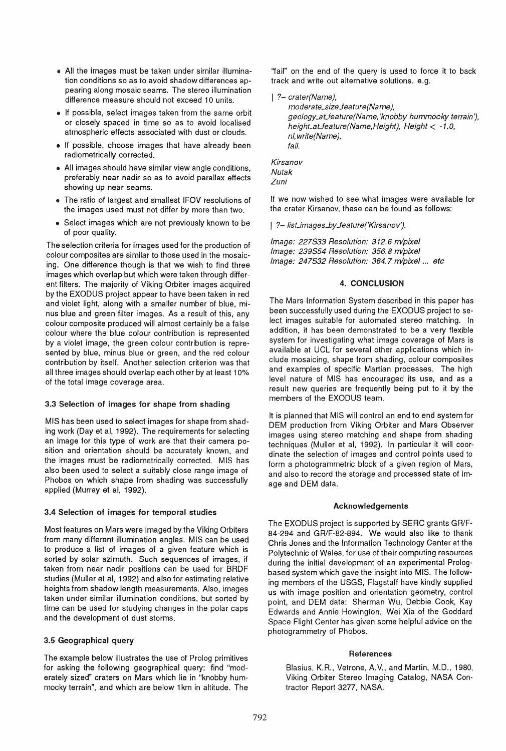- e All the images must be taken under similar illumination conditions so as to avoid shadow differences appearing along mosaic seams. The stereo illumination difference measure should not exceed 10 units.
- If possible, select images taken from the same orbit or closely spaced in time so as to avoid localised atmospheric effects associated with dust or clouds.
- If possible, choose images that have already been radiometrically corrected.
- All images should have similar view angle conditions, preferably near nadir so as to avoid parallax effects showing up near seams.
- The ratio of largest and smallest IFOV resolutions of the images used must not differ by more than two.
- Select images which are not previously known to be of poor quality.

The selection criteria for images used for the production of colour composites are similar to those used in the mosaicing. One difference though is that we wish to find three images which overlap but which were taken through different filters. The majority of Viking Orbiter images acquired by the EXODUS project appear to have been taken in red and violet light. along with a smaller number of blue, minus blue and green filter images. As a result of this, any colour composite produced will almost certainly be a false colour where the blue colour contribution is represented by a violet image, the green colour contribution is represented by blue, minus blue or green, and the red colour contribution by itself. Another selection criterion was that all three images should overlap each other by at least 10% of the total image coverage area.

## 3.3 Selection of images for shape from shading

MIS has been used to select images for shape from shading work (Day et al, 1992). The requirements for selecting an image for this type of work are that their camera position and orientation should be accurately known, and the images must be radiometrically corrected. MIS has also been used to select a suitably close range image of Phobos on which shape from shading was successfully applied (Murray et ai, 1992).

## 3.4 Selection of images for temporal studies

Most features on Mars were imaged by the Viking Orbiters from many different illumination angles. MIS can be used to produce a list of images of a given feature which is sorted by solar azimuth. Such sequences of images, if taken from near nadir positions can be used for BRDF studies (Muller et ai, 1992) and also for estimating relative heights from shadow length measurements. Also, images taken under similar illumination conditions, but sorted by time can be used for studying changes in the polar caps and the development of dust storms.

# 3.5 Geographical query

The example below illustrates the use of Prolog primitives for asking the following geographical query: find "moderately sized" craters on Mars which lie in "knobby hummocky terrain", and which are below 1 km in altitude. The

"fail" on the end of the query is used to force it to back track and write out alternative solutions. e.g.

?- crater(Name),

moderate\_size\_feature (Name), geology\_aLfeature(Name, 'knobby hummocky terrain'), heighLaLfeature(Name,Height), Height < -1.0, nl, write(Name), fail.

Kirsanov Nutak Zuni

If we now wished to see what images were available for the crater Kirsanov, these can be found as follows:

| ?- list\_images\_by\_feature('Kirsanov').

Image: 227533 Resolution: 312.6 m/pixel Image: 239554 Resolution: 356.8 m/pixe/ Image: 247532 Resolution: 364.7 m/pixe/... etc

## 4. CONCLUSION

The Mars Information System described in this paper has been successfully used during the EXODUS project to select images suitable for automated stereo matching. In addition, it has been demonstrated to be a very flexible system for investigating what image coverage of Mars is available at UCL for several other applications which include mosaicing, shape from shading, colour composites and examples of specific Martian processes. The high level nature of MIS has encouraged its use, and as a result new queries are frequently being put to it by the members of the EXODUS team.

It is planned that MIS will control an end to end system for OEM production from Viking Orbiter and Mars Observer images using stereo matching and shape from shading techniques (Muller et ai, 1992). In particular it will coordinate the selection of images and control points used to form a photogrammetric block of a given region of Mars, and also to record the storage and processed state of image and OEM data.

## Acknowledgements

The EXODUS project is supported by SERC grants GR/F-84-294 and GR/F-82-894. We would also like to thank Chris Jones and the Information Technology Center at the Polytechnic of Wales, for use of their computing resources during the initial development of an experimental Prologbased system which gave the insight into MIS. The following members of the USGS, Flagstaff have kindly supplied us with image position and orientation geometry, control point, and OEM data: Sherman Wu, Debbie Cook, Kay Edwards and Annie Howington. Wei Xia of the Goddard Space Flight Center has given some helpful advice on the photogrammetry of Phobos.

# References

Blasius, K.R., Vetrone, A. V., and Martin, M.D., 1980, Viking Orbiter Stereo Imaging Catalog, NASA Contractor Report 3277, NASA.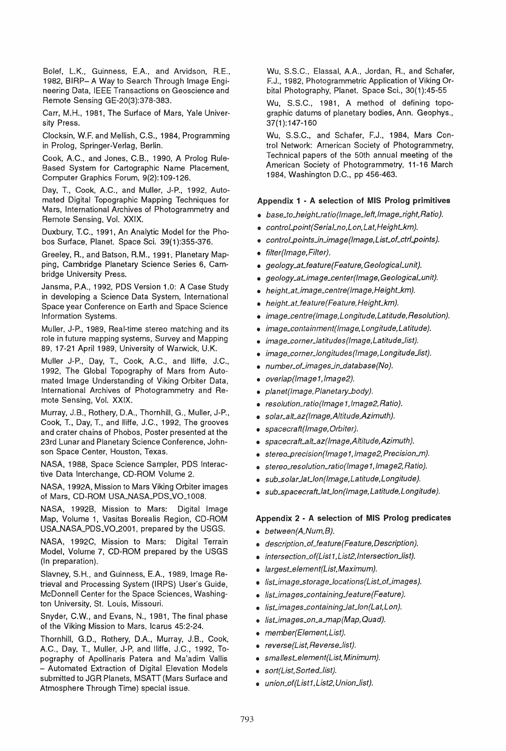Bolef, L.K., Guinness, E.A., and Arvidson, R.E., 1982, BIRP- A Way to Search Through Image Engineering Data, IEEE Transactions on Geoscience and Remote Sensing GE-20(3):378-383.

Carr, M.H., 1981, The Surface of Mars, Yale University Press.

Clocksin, W.F. and Mellish, C.S., 1984, Programming in Prolog, Springer-Verlag, Berlin.

Cook, A.C., and Jones, C.B., 1990, A Prolog Rule-Based System for Cartographic Name Placement, Computer Graphics Forum, 9(2):109-126.

Day, T., Cook, AC., and Muller, J-P., 1992, Automated Digital Topographic Mapping Techniques for Mars, International Archives of Photogrammetry and Remote Sensing, Vol. XXIX.

Duxbury, T.C., 1991, An Analytic Model for the Phobos Surface, Planet. Space Sci. 39(1 ):355-376.

Greeley, R., and Batson, R.M., 1991', Planetary Mapping, Cambridge Planetary Science Series 6, Cambridge University Press.

Jansma, P.A, 1992, PDS Version 1.0: A Case Study in developing a Science Data System, International Space year Conference on Earth and Space Science Information Systems.

Muller, J-P., 1989, Real-time stereo matching and its role in future mapping systems, Survey and Mapping 89, 17-21 April 1989, University of Warwick, U.K.

Muller J-P., Day, T., Cook, AC., and lIifte, J.C., 1992, The Global Topography of Mars from Automated Image Understanding of Viking Orbiter Data, International Archives of Photogrammetry and Remote Sensing, Vol. XXIX.

Murray, J.B., Rothery, D.A, Thornhill, G., Mulier, J-P., Cook, T., Day, T., and llifte, J.C., 1992, The grooves and crater chains of Phobos, Poster presented at the 23rd Lunar and Planetary Science Conference, Johnson Space Center, Houston, Texas.

NASA, 1988, Space Science Sampler, PDS Interactive Data Interchange, CD-ROM Volume 2.

NASA, 1992A, Mission to Mars Viking Orbiter images of Mars, CD-ROM USA\_NASA\_PDS\_VO\_1008.

NASA, 1992B, Mission to Mars: Digital Image Map, Volume 1, Vasitas Borealis Region, CD-ROM USA\_NASA\_PDS\_V02001, prepared by the USGS.

NASA, 1992C, Mission to Mars: Digital Terrain Model, Volume 7, CD-ROM prepared by the USGS (In preparation).

Slavney, S.H., and Guinness, E.A, 1989, Image Retrieval and Processing System (IRPS) User's Guide, McDonnell Center for the Space Sciences, Washington University, St. Louis, Missouri.

Snyder, C.W., and Evans, N., 1981, The final phase of the Viking Mission to Mars, Icarus 45:2-24.

Thornhill, G.D., Rothery, D.A., Murray, J.B., Cook, A.C., Day, T., Muller, J-P, and lIifte, J.C., 1992, Topography of Apollinaris Patera and Ma'adim Vallis - Automated Extraction of Digital Elevation Models submitted to JGR Planets, MSATT (Mars Surface and Atmosphere Through Time) special issue.

Wu, S.S.C., Elassal, AA., Jordan, R., and Schafer, F.J., 1982, Photogrammetric Application of Viking Orbital Photography, Planet. Space Sci., 30(1):45-55

Wu, S.S.C., 1981, A method of defining topographic datums of planetary bodies, Ann. Geophys., 37(1):147-160

Wu, S.S.C., and Schafer, F.J., 1984, Mars Control Network: American Society of Photogrammetry, Technical papers of the 50th annual meeting of the American Society of Photogrammetry, 11-16 March 1984, Washington D.C., pp 456-463.

## Appendix 1 - A selection of MIS Prolog primitives

• base\_to\_height\_ratio(Image\_left,Image\_right,Ratio).

- controLpoint(SeriaLno,Lon,Lat,HeighLkm).
- control\_points\_in\_image(Image,List\_of\_ctrl\_points).
- .. filter(lmage,Filter).
- geology\_at\_feature(Feature, Geological\_unit).
- . geology\_at\_image\_center(Image, Geological\_unit).
- . height\_at\_image\_centre(lmage, Height\_km).
- . height\_at\_feature(Feature, Height\_km).
- .. image\_centre (Image, Longitude, Latitude, Resolution}.
- . image\_containment(Image, Longitude, Latitude).
- image\_corner\_latitudes(Image,Latitude\_list).
- image\_corner\_longitudes(Image, Longitude\_list).
- $\bullet$  number\_of\_images\_in\_database(No).
- .. o verlap(/mage 1, Image2}.
- . planet(Image, Planetary\_body).
- resolution\_ratio (Image 1, Image 2, Ratio).
- . solar\_alt\_az(Image, Altitude, Azimuth).
- .. spacecraft(lmage,Orbiter}.
- .. spacecrafLaILaz(lmage,Altitude,Azimuth).
- stereo\_precision(Image1, Image2, Precision\_m).
- stereo\_resolution\_ratio(Image1, Image2, Ratio).
- $\bullet$  sub\_solar\_lat\_lon(lmage, Latitude, Longitude).
- sub\_spacecraft\_lat\_lon(Image,Latitude,Longitude).

#### Appendix 2 - A selection of MIS Prolog predicates

- $\bullet$  between (A, Num, B).
- $\bullet$  description\_of\_feature(Feature,Description).
- .. intersection\_of(Ust 1, List2, Intersection\_list).
- .. largesLelement(List,Maximum}.
- . list\_image\_storage\_locations(List\_of\_images).
- $\bullet$  list\_images\_containing\_feature(Feature).
- list\_images\_containing\_lat\_lon(Lat,Lon).
- list\_images\_on\_a\_map(Map, Quad).
- .. member(Element,List).
- . reverse(List, Reverse\_list).
- . smallest\_element(List, Minimum).
- .. sort(Ust, Sorted\_list).
- union\_of(Ust1, List2, Union\_list).